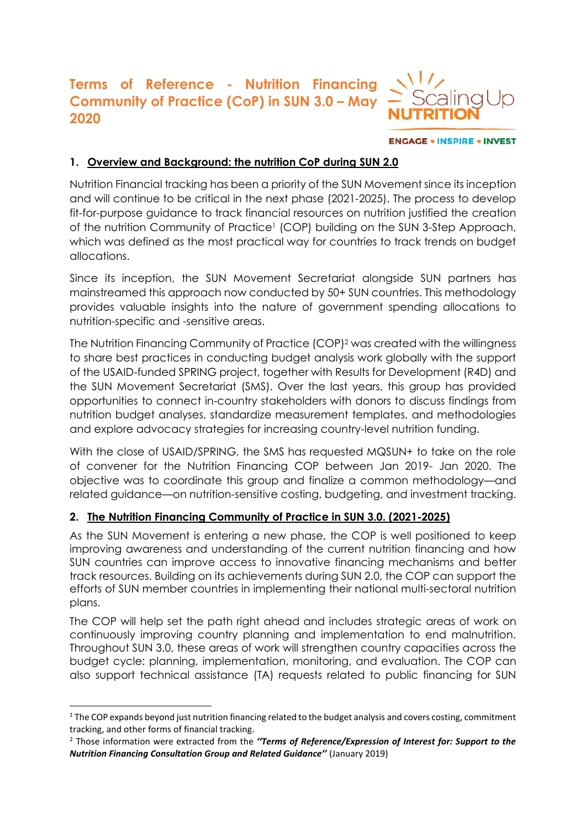# **Terms of Reference - Nutrition Financing Community of Practice (CoP) in SUN 3.0 - May 2020**



**ENGAGE . INSPIRE . INVEST** 

## **1. Overview and Background: the nutrition CoP during SUN 2.0**

Nutrition Financial tracking has been a priority of the SUN Movement since its inception and will continue to be critical in the next phase (2021-2025). The process to develop fit-for-purpose guidance to track financial resources on nutrition justified the creation of the nutrition Community of Practice<sup>1</sup> (COP) building on the SUN 3-Step Approach, which was defined as the most practical way for countries to track trends on budget allocations.

Since its inception, the SUN Movement Secretariat alongside SUN partners has mainstreamed this approach now conducted by 50+ SUN countries. This methodology provides valuable insights into the nature of government spending allocations to nutrition-specific and -sensitive areas.

The Nutrition Financing Community of Practice (COP)<sup>2</sup> was created with the willingness to share best practices in conducting budget analysis work globally with the support of the USAID-funded SPRING project, together with Results for Development (R4D) and the SUN Movement Secretariat (SMS). Over the last years, this group has provided opportunities to connect in-country stakeholders with donors to discuss findings from nutrition budget analyses, standardize measurement templates, and methodologies and explore advocacy strategies for increasing country-level nutrition funding.

With the close of USAID/SPRING, the SMS has requested MQSUN+ to take on the role of convener for the Nutrition Financing COP between Jan 2019- Jan 2020. The objective was to coordinate this group and finalize a common methodology—and related guidance—on nutrition-sensitive costing, budgeting, and investment tracking.

## **2. The Nutrition Financing Community of Practice in SUN 3.0. (2021-2025)**

As the SUN Movement is entering a new phase, the COP is well positioned to keep improving awareness and understanding of the current nutrition financing and how SUN countries can improve access to innovative financing mechanisms and better track resources. Building on its achievements during SUN 2.0, the COP can support the efforts of SUN member countries in implementing their national multi-sectoral nutrition plans.

The COP will help set the path right ahead and includes strategic areas of work on continuously improving country planning and implementation to end malnutrition. Throughout SUN 3.0, these areas of work will strengthen country capacities across the budget cycle: planning, implementation, monitoring, and evaluation. The COP can also support technical assistance (TA) requests related to public financing for SUN

 $1$  The COP expands beyond just nutrition financing related to the budget analysis and covers costing, commitment tracking, and other forms of financial tracking.

<sup>2</sup> Those information were extracted from the *''Terms of Reference/Expression of Interest for: Support to the Nutrition Financing Consultation Group and Related Guidance''* (January 2019)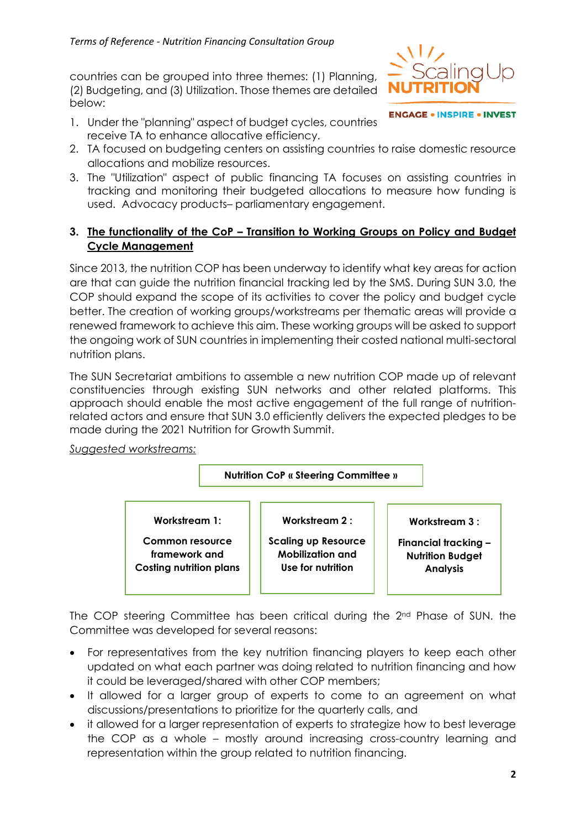countries can be grouped into three themes: (1) Planning, (2) Budgeting, and (3) Utilization. Those themes are detailed below:

1. Under the "planning" aspect of budget cycles, countries receive TA to enhance allocative efficiency.



**ENGAGE . INSPIRE . INVEST** 

- 2. TA focused on budgeting centers on assisting countries to raise domestic resource allocations and mobilize resources.
- 3. The "Utilization" aspect of public financing TA focuses on assisting countries in tracking and monitoring their budgeted allocations to measure how funding is used. Advocacy products– parliamentary engagement.

#### **3. The functionality of the CoP – Transition to Working Groups on Policy and Budget Cycle Management**

Since 2013, the nutrition COP has been underway to identify what key areas for action are that can guide the nutrition financial tracking led by the SMS. During SUN 3.0, the COP should expand the scope of its activities to cover the policy and budget cycle better. The creation of working groups/workstreams per thematic areas will provide a renewed framework to achieve this aim. These working groups will be asked to support the ongoing work of SUN countries in implementing their costed national multi-sectoral nutrition plans.

The SUN Secretariat ambitions to assemble a new nutrition COP made up of relevant constituencies through existing SUN networks and other related platforms. This approach should enable the most active engagement of the full range of nutritionrelated actors and ensure that SUN 3.0 efficiently delivers the expected pledges to be made during the 2021 Nutrition for Growth Summit.

*Suggested workstreams:* 



The COP steering Committee has been critical during the 2nd Phase of SUN. the Committee was developed for several reasons:

- For representatives from the key nutrition financing players to keep each other updated on what each partner was doing related to nutrition financing and how it could be leveraged/shared with other COP members;
- It allowed for a larger group of experts to come to an agreement on what discussions/presentations to prioritize for the quarterly calls, and
- it allowed for a larger representation of experts to strategize how to best leverage the COP as a whole – mostly around increasing cross-country learning and representation within the group related to nutrition financing.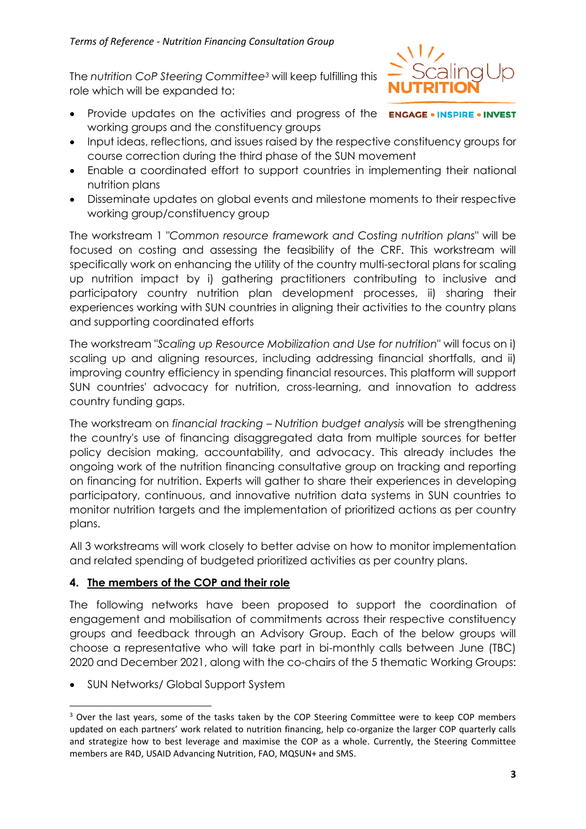The *nutrition CoP Steering Committee<sup>3</sup>* will keep fulfilling this role which will be expanded to:

Provide updates on the activities and progress of the **ENGAGE • INSPIRE • INVEST** working groups and the constituency groups



- Enable a coordinated effort to support countries in implementing their national nutrition plans
- Disseminate updates on global events and milestone moments to their respective working group/constituency group

The workstream 1 "*Common resource framework and Costing nutrition plans*" will be focused on costing and assessing the feasibility of the CRF. This workstream will specifically work on enhancing the utility of the country multi-sectoral plans for scaling up nutrition impact by i) gathering practitioners contributing to inclusive and participatory country nutrition plan development processes, ii) sharing their experiences working with SUN countries in aligning their activities to the country plans and supporting coordinated efforts

The workstream "*Scaling up Resource Mobilization and Use for nutrition*" will focus on i) scaling up and aligning resources, including addressing financial shortfalls, and ii) improving country efficiency in spending financial resources. This platform will support SUN countries' advocacy for nutrition, cross-learning, and innovation to address country funding gaps.

The workstream on *financial tracking – Nutrition budget analysis* will be strengthening the country's use of financing disaggregated data from multiple sources for better policy decision making, accountability, and advocacy. This already includes the ongoing work of the nutrition financing consultative group on tracking and reporting on financing for nutrition. Experts will gather to share their experiences in developing participatory, continuous, and innovative nutrition data systems in SUN countries to monitor nutrition targets and the implementation of prioritized actions as per country plans.

All 3 workstreams will work closely to better advise on how to monitor implementation and related spending of budgeted prioritized activities as per country plans.

## **4. The members of the COP and their role**

The following networks have been proposed to support the coordination of engagement and mobilisation of commitments across their respective constituency groups and feedback through an Advisory Group. Each of the below groups will choose a representative who will take part in bi-monthly calls between June (TBC) 2020 and December 2021, along with the co-chairs of the 5 thematic Working Groups:

• SUN Networks/ Global Support System



<sup>&</sup>lt;sup>3</sup> Over the last years, some of the tasks taken by the COP Steering Committee were to keep COP members updated on each partners' work related to nutrition financing, help co-organize the larger COP quarterly calls and strategize how to best leverage and maximise the COP as a whole. Currently, the Steering Committee members are R4D, USAID Advancing Nutrition, FAO, MQSUN+ and SMS.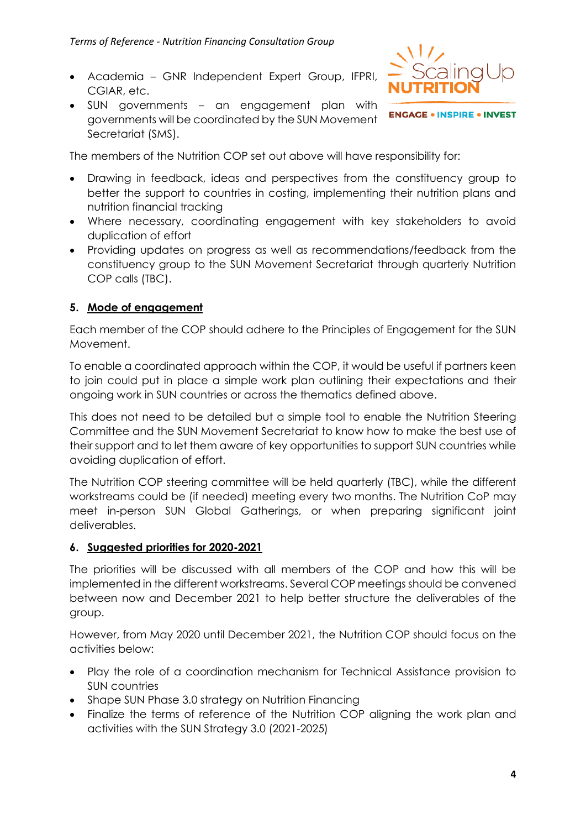- Academia GNR Independent Expert Group, IFPRI, CGIAR, etc.
- SUN governments an engagement plan with governments will be coordinated by the SUN Movement Secretariat (SMS).



**ENGAGE . INSPIRE . INVEST** 

The members of the Nutrition COP set out above will have responsibility for:

- Drawing in feedback, ideas and perspectives from the constituency group to better the support to countries in costing, implementing their nutrition plans and nutrition financial tracking
- Where necessary, coordinating engagement with key stakeholders to avoid duplication of effort
- Providing updates on progress as well as recommendations/feedback from the constituency group to the SUN Movement Secretariat through quarterly Nutrition COP calls (TBC).

#### **5. Mode of engagement**

Each member of the COP should adhere to the Principles of Engagement for the SUN Movement.

To enable a coordinated approach within the COP, it would be useful if partners keen to join could put in place a simple work plan outlining their expectations and their ongoing work in SUN countries or across the thematics defined above.

This does not need to be detailed but a simple tool to enable the Nutrition Steering Committee and the SUN Movement Secretariat to know how to make the best use of their support and to let them aware of key opportunities to support SUN countries while avoiding duplication of effort.

The Nutrition COP steering committee will be held quarterly (TBC), while the different workstreams could be (if needed) meeting every two months. The Nutrition CoP may meet in-person SUN Global Gatherings, or when preparing significant joint deliverables.

#### **6. Suggested priorities for 2020-2021**

The priorities will be discussed with all members of the COP and how this will be implemented in the different workstreams. Several COP meetings should be convened between now and December 2021 to help better structure the deliverables of the group.

However, from May 2020 until December 2021, the Nutrition COP should focus on the activities below:

- Play the role of a coordination mechanism for Technical Assistance provision to SUN countries
- Shape SUN Phase 3.0 strategy on Nutrition Financing
- Finalize the terms of reference of the Nutrition COP aligning the work plan and activities with the SUN Strategy 3.0 (2021-2025)